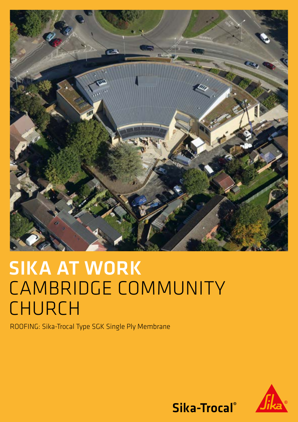

# SIKA AT WORK CAMBRIDGE COMMUNITY CHURCH

ROOFING: Sika-Trocal Type SGK Single Ply Membrane



Sika-Trocal®